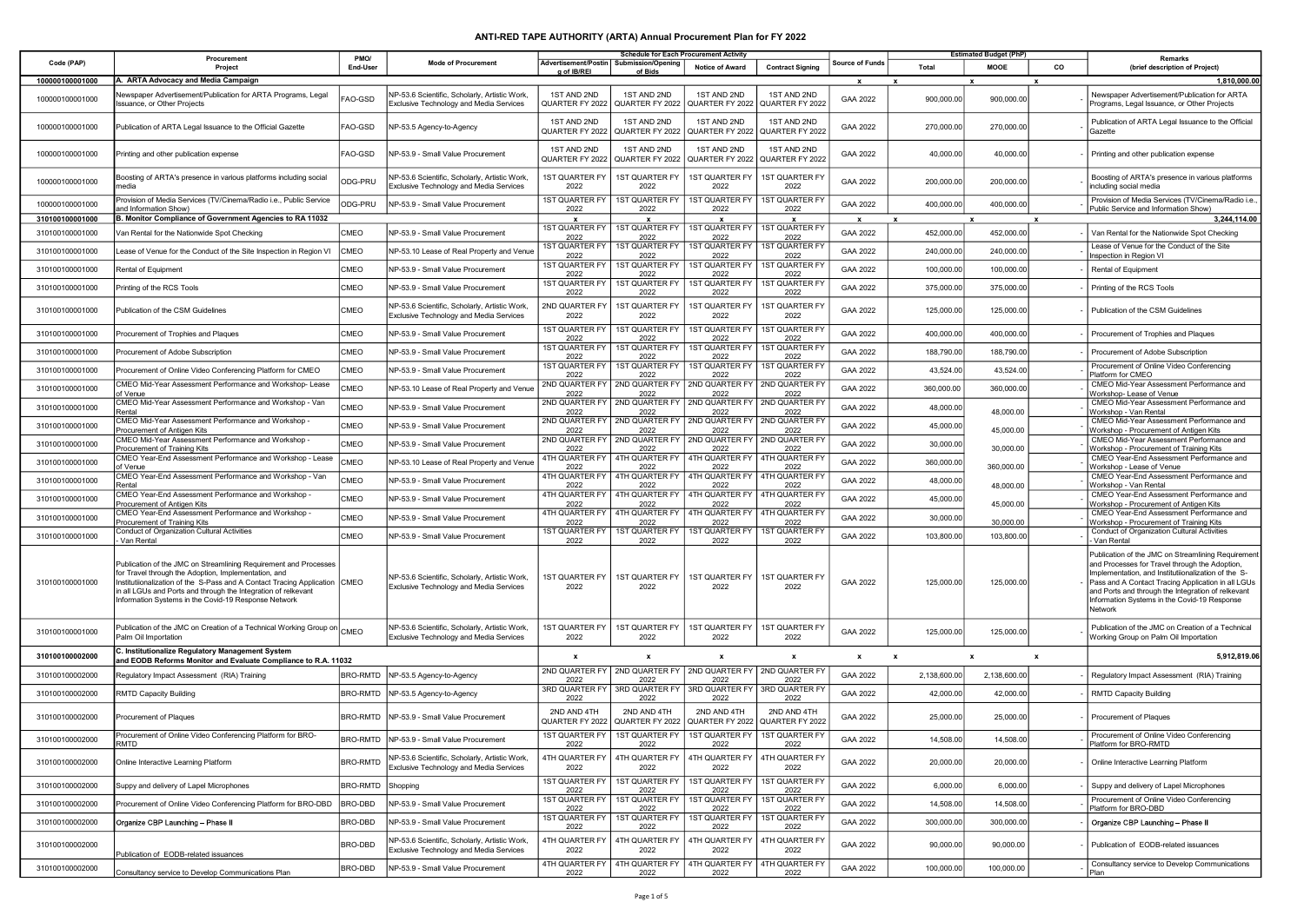## ANTI-RED TAPE AUTHORITY (ARTA) Annual Procurement Plan for FY 2022

|                                    | Procurement                                                                                                                                                                                                                                                                                                                      | PMO/            |                                                                                                 |                                                    | <b>Schedule for Each Procurement Activity</b> |                                                          |                                      |                    |                           | <b>Estimated Budget (PhP)</b> |    | Remarks                                                                                                                                                                                                                                                                                                                            |
|------------------------------------|----------------------------------------------------------------------------------------------------------------------------------------------------------------------------------------------------------------------------------------------------------------------------------------------------------------------------------|-----------------|-------------------------------------------------------------------------------------------------|----------------------------------------------------|-----------------------------------------------|----------------------------------------------------------|--------------------------------------|--------------------|---------------------------|-------------------------------|----|------------------------------------------------------------------------------------------------------------------------------------------------------------------------------------------------------------------------------------------------------------------------------------------------------------------------------------|
| Code (PAP)                         | Project                                                                                                                                                                                                                                                                                                                          | End-User        | <b>Mode of Procurement</b>                                                                      | Advertisement/Postin<br>g of IB/REI                | <b>Submission/Opening</b><br>of Bids          | <b>Notice of Award</b>                                   | <b>Contract Signing</b>              | Source of Funds    | Total                     | <b>MOOE</b>                   | co | (brief description of Project)                                                                                                                                                                                                                                                                                                     |
| 100000100001000<br>100000100001000 | A. ARTA Advocacy and Media Campaign<br>lewspaper Advertisement/Publication for ARTA Programs, Legal<br>ssuance, or Other Projects                                                                                                                                                                                                | AO-GSD          | NP-53.6 Scientific, Scholarly, Artistic Work,<br><b>Exclusive Technology and Media Services</b> | 1ST AND 2ND<br>QUARTER FY 2022                     | 1ST AND 2ND<br>QUARTER FY 2022                | 1ST AND 2ND<br>QUARTER FY 2022                           | 1ST AND 2ND<br>QUARTER FY 2022       | x<br>GAA 2022      | 900,000.00                | 900,000.00                    |    | 1,810,000.00<br>Newspaper Advertisement/Publication for ARTA<br>Programs, Legal Issuance, or Other Projects                                                                                                                                                                                                                        |
| 100000100001000                    | Publication of ARTA Legal Issuance to the Official Gazette                                                                                                                                                                                                                                                                       | FAO-GSD         | NP-53.5 Agency-to-Agency                                                                        | 1ST AND 2ND<br>QUARTER FY 2022                     | 1ST AND 2ND<br>QUARTER FY 2022                | 1ST AND 2ND<br>QUARTER FY 2022                           | 1ST AND 2ND<br>QUARTER FY 2022       | GAA 2022           | 270,000.00                | 270,000.00                    |    | Publication of ARTA Legal Issuance to the Official<br>Gazette                                                                                                                                                                                                                                                                      |
| 100000100001000                    | Printing and other publication expense                                                                                                                                                                                                                                                                                           | FAO-GSD         | NP-53.9 - Small Value Procurement                                                               | 1ST AND 2ND<br>QUARTER FY 2022                     | 1ST AND 2ND<br>QUARTER FY 2022                | 1ST AND 2ND<br>QUARTER FY 2022                           | 1ST AND 2ND<br>QUARTER FY 2022       | GAA 2022           | 40,000.00                 | 40,000.00                     |    | Printing and other publication expense                                                                                                                                                                                                                                                                                             |
| 100000100001000                    | Boosting of ARTA's presence in various platforms including social<br>nedia                                                                                                                                                                                                                                                       | ODG-PRU         | NP-53.6 Scientific, Scholarly, Artistic Work,<br>Exclusive Technology and Media Services        | <b>1ST QUARTER FY</b><br>2022                      | 1ST QUARTER FY<br>2022                        | <b>1ST QUARTER FY</b><br>2022                            | <b>1ST QUARTER FY</b><br>2022        | GAA 2022           | 200,000.00                | 200,000.00                    |    | Boosting of ARTA's presence in various platforms<br>including social media                                                                                                                                                                                                                                                         |
| 100000100001000                    | Provision of Media Services (TV/Cinema/Radio i.e., Public Service<br>and Information Show)                                                                                                                                                                                                                                       | ODG-PRU         | NP-53.9 - Small Value Procurement                                                               | <b>1ST QUARTER FY</b><br>2022                      | 1ST QUARTER FY<br>2022                        | <b>1ST QUARTER FY</b><br>2022                            | 1ST QUARTER FY<br>2022               | GAA 2022           | 400,000.00                | 400,000.00                    |    | Provision of Media Services (TV/Cinema/Radio i.e.,<br>Public Service and Information Show)                                                                                                                                                                                                                                         |
| 310100100001000                    | B. Monitor Compliance of Government Agencies to RA 11032                                                                                                                                                                                                                                                                         |                 |                                                                                                 | $\boldsymbol{\mathsf{x}}$<br><b>1ST QUARTER FY</b> | $\mathbf{x}$<br><b>1ST QUARTER FY</b>         | $\mathbf{x}$<br>1ST QUARTER FY                           | $\mathbf{x}$<br><b>1ST QUARTER F</b> | $\mathbf{x}$       | $\mathbf{x}$              |                               |    | 3.244.114.00                                                                                                                                                                                                                                                                                                                       |
| 310100100001000                    | Van Rental for the Nationwide Spot Checking                                                                                                                                                                                                                                                                                      | CMEO            | NP-53.9 - Small Value Procurement                                                               | 2022<br><b>1ST QUARTER FY</b>                      | 2022<br><b>1ST QUARTER FY</b>                 | 2022<br><b>1ST QUARTER FY</b>                            | 2022<br><b>1ST QUARTER F</b>         | GAA 2022           | 452,000.00                | 452,000.00                    |    | Van Rental for the Nationwide Spot Checking<br>Lease of Venue for the Conduct of the Site                                                                                                                                                                                                                                          |
| 310100100001000                    | Lease of Venue for the Conduct of the Site Inspection in Region VI                                                                                                                                                                                                                                                               | CMEO            | NP-53.10 Lease of Real Property and Venue                                                       | 2022<br><b>1ST QUARTER FY</b>                      | 2022<br><b>1ST QUARTER FY</b>                 | 2022<br><b>1ST QUARTER FY</b>                            | 2022<br><b>1ST QUARTER F</b>         | GAA 2022           | 240,000.00                | 240,000.00                    |    | Inspection in Region VI                                                                                                                                                                                                                                                                                                            |
| 310100100001000                    | Rental of Equipment                                                                                                                                                                                                                                                                                                              | CMEO            | NP-53.9 - Small Value Procurement                                                               | 2022<br>1ST QUARTER FY                             | 2022<br><b>1ST QUARTER FY</b>                 | 2022<br><b>1ST QUARTER FY</b>                            | 2022<br><b>1ST QUARTER F</b>         | GAA 2022           | 100,000.00                | 100,000.00                    |    | Rental of Equipment                                                                                                                                                                                                                                                                                                                |
| 310100100001000                    | Printing of the RCS Tools                                                                                                                                                                                                                                                                                                        | CMEO            | NP-53.9 - Small Value Procurement                                                               | 2022                                               | 2022                                          | 2022                                                     | 2022                                 | GAA 2022           | 375,000.00                | 375,000.00                    |    | Printing of the RCS Tools                                                                                                                                                                                                                                                                                                          |
| 310100100001000                    | Publication of the CSM Guidelines                                                                                                                                                                                                                                                                                                | CMEO            | NP-53.6 Scientific, Scholarly, Artistic Work,<br>Exclusive Technology and Media Services        | 2ND QUARTER FY<br>2022                             | 1ST QUARTER FY<br>2022                        | 1ST QUARTER FY<br>2022                                   | 1ST QUARTER FY<br>2022               | GAA 2022           | 125,000.00                | 125,000.00                    |    | Publication of the CSM Guidelines                                                                                                                                                                                                                                                                                                  |
| 310100100001000                    | Procurement of Trophies and Plaques                                                                                                                                                                                                                                                                                              | CMEO            | NP-53.9 - Small Value Procurement                                                               | <b>1ST QUARTER FY</b><br>2022                      | 1ST QUARTER FY<br>2022                        | <b>1ST QUARTER FY</b><br>2022                            | <b>1ST QUARTER F</b><br>2022         | GAA 2022           | 400,000.00                | 400,000.00                    |    | Procurement of Trophies and Plaques                                                                                                                                                                                                                                                                                                |
| 310100100001000                    | Procurement of Adobe Subscription                                                                                                                                                                                                                                                                                                | CMEO            | NP-53.9 - Small Value Procurement                                                               | 1ST QUARTER FY<br>2022                             | <b>1ST QUARTER FY</b><br>2022                 | 1ST QUARTER FY<br>2022                                   | <b>1ST QUARTER F</b><br>2022         | GAA 2022           | 188,790.00                | 188,790.00                    |    | Procurement of Adobe Subscription                                                                                                                                                                                                                                                                                                  |
| 310100100001000                    | Procurement of Online Video Conferencing Platform for CMEO                                                                                                                                                                                                                                                                       | CMEO            | NP-53.9 - Small Value Procurement                                                               | <b>1ST QUARTER FY</b><br>2022                      | <b>1ST QUARTER FY</b><br>2022                 | <b>1ST QUARTER FY</b><br>2022                            | <b>1ST QUARTER FY</b><br>2022        | GAA 2022           | 43,524.00                 | 43,524.00                     |    | Procurement of Online Video Conferencing<br>Platform for CMEO                                                                                                                                                                                                                                                                      |
| 310100100001000                    | CMEO Mid-Year Assessment Performance and Workshop-Lease<br>of Venue                                                                                                                                                                                                                                                              | CMEO            | NP-53.10 Lease of Real Property and Venue                                                       | 2ND QUARTER FY<br>2022                             | 2ND QUARTER FY<br>2022                        | 2ND QUARTER FY<br>2022                                   | 2ND QUARTER FT<br>2022               | GAA 2022           | 360,000.00                | 360,000.00                    |    | CMEO Mid-Year Assessment Performance and<br>Workshop-Lease of Venue                                                                                                                                                                                                                                                                |
| 310100100001000                    | CMEO Mid-Year Assessment Performance and Workshop - Van<br>Rental                                                                                                                                                                                                                                                                | CMEO            | NP-53.9 - Small Value Procurement                                                               | 2ND QUARTER FY<br>2022                             | 2ND QUARTER FY<br>2022                        | 2ND QUARTER FY<br>2022                                   | 2ND QUARTER FY<br>2022               | GAA 2022           | 48,000.00                 | 48,000.00                     |    | CMEO Mid-Year Assessment Performance and<br>Workshop - Van Rental                                                                                                                                                                                                                                                                  |
| 310100100001000                    | CMEO Mid-Year Assessment Performance and Workshop -<br>Procurement of Antigen Kits                                                                                                                                                                                                                                               | CMEO            | NP-53.9 - Small Value Procurement                                                               | 2ND QUARTER FY<br>2022                             | 2ND QUARTER FY<br>2022                        | 2ND QUARTER FY<br>2022                                   | 2ND QUARTER F<br>2022                | GAA 2022           | 45,000.00                 | 45,000.00                     |    | CMEO Mid-Year Assessment Performance and<br>Workshop - Procurement of Antigen Kits                                                                                                                                                                                                                                                 |
| 310100100001000                    | CMEO Mid-Year Assessment Performance and Workshop -<br>Procurement of Training Kits                                                                                                                                                                                                                                              | CMEO            | NP-53.9 - Small Value Procurement                                                               | 2ND QUARTER FY<br>2022                             | 2ND QUARTER FY<br>2022                        | 2ND QUARTER FY<br>2022                                   | 2ND QUARTER FT<br>2022               | GAA 2022           | 30,000.00                 | 30,000.00                     |    | CMEO Mid-Year Assessment Performance and<br>Workshop - Procurement of Training Kits                                                                                                                                                                                                                                                |
| 310100100001000                    | CMEO Year-End Assessment Performance and Workshop - Lease<br>of Venue                                                                                                                                                                                                                                                            | CMEO            | NP-53.10 Lease of Real Property and Venue                                                       | 4TH QUARTER FY<br>2022                             | 4TH QUARTER FY<br>2022                        | 4TH QUARTER FY<br>2022                                   | 4TH QUARTER FY<br>2022               | GAA 2022           | 360,000.00                | 360,000.00                    |    | CMEO Year-End Assessment Performance and<br>Workshop - Lease of Venue                                                                                                                                                                                                                                                              |
| 310100100001000                    | CMEO Year-End Assessment Performance and Workshop - Van<br>Rental                                                                                                                                                                                                                                                                | CMEO            | NP-53.9 - Small Value Procurement                                                               | 4TH QUARTER FY<br>2022                             | 4TH QUARTER FY<br>2022                        | 4TH QUARTER FY<br>2022                                   | 4TH QUARTER FY<br>2022               | GAA 2022           | 48,000.00                 | 48,000.00                     |    | CMEO Year-End Assessment Performance and<br>Workshop - Van Rental                                                                                                                                                                                                                                                                  |
| 310100100001000                    | CMEO Year-End Assessment Performance and Workshop -<br>Procurement of Antigen Kits                                                                                                                                                                                                                                               | CMEO            | NP-53.9 - Small Value Procurement                                                               | 4TH QUARTER FY<br>2022                             | 4TH QUARTER FY<br>2022                        | 4TH QUARTER FY<br>2022                                   | 4TH QUARTER F<br>2022                | GAA 2022           | 45,000.00                 | 45,000.00                     |    | CMEO Year-End Assessment Performance and<br>Workshop - Procurement of Antigen Kits                                                                                                                                                                                                                                                 |
| 310100100001000                    | CMEO Year-End Assessment Performance and Workshop -<br>Procurement of Training Kits                                                                                                                                                                                                                                              | CMEO            | NP-53.9 - Small Value Procurement                                                               | 4TH QUARTER FY<br>2022                             | 4TH QUARTER FY<br>2022                        | 4TH QUARTER FY<br>2022                                   | 4TH QUARTER F<br>2022                | GAA 2022           | 30,000.00                 | 30,000.00                     |    | CMEO Year-End Assessment Performance and<br>Workshop - Procurement of Training Kits                                                                                                                                                                                                                                                |
| 310100100001000                    | <b>Conduct of Organization Cultural Activities</b><br>Van Rental                                                                                                                                                                                                                                                                 | CMEO            | NP-53.9 - Small Value Procurement                                                               | <b>1ST QUARTER FY</b><br>2022                      | 1ST QUARTER FY<br>2022                        | 1ST QUARTER FY<br>2022                                   | <b>1ST QUARTER F</b><br>2022         | GAA 2022           | 103,800.00                | 103,800.00                    |    | Conduct of Organization Cultural Activities<br>Van Rental                                                                                                                                                                                                                                                                          |
| 310100100001000                    | Publication of the JMC on Streamlining Requirement and Processes<br>for Travel through the Adoption, Implementation, and<br>Institutiionalization of the S-Pass and A Contact Tracing Application CMEO<br>in all LGUs and Ports and through the Integration of relkevant<br>Information Systems in the Covid-19 Response Network |                 | NP-53.6 Scientific, Scholarly, Artistic Work,<br><b>Exclusive Technology and Media Services</b> | <b>IST QUARTER FY</b><br>2022                      | <b>1ST QUARTER FY</b><br>2022                 | 1ST QUARTER FY<br>2022                                   | <b>1ST QUARTER FY</b><br>2022        | GAA 2022           | 125,000.00                | 125,000.00                    |    | Publication of the JMC on Streamlining Requirement<br>and Processes for Travel through the Adoption,<br>Implementation, and Institutiionalization of the S-<br>Pass and A Contact Tracing Application in all LGUs<br>and Ports and through the Integration of relkevant<br>Information Systems in the Covid-19 Response<br>Network |
| 310100100001000                    | Publication of the JMC on Creation of a Technical Working Group on $\big _{\rm CMEO}$<br>Palm Oil Importation                                                                                                                                                                                                                    |                 | NP-53.6 Scientific, Scholarly, Artistic Work,<br>Exclusive Technology and Media Services        | <b>1ST QUARTER FY</b><br>2022                      | 1ST QUARTER FY<br>2022                        | 1ST QUARTER FY<br>2022                                   | 1ST QUARTER FY<br>2022               | GAA 2022           | 125,000.00                | 125,000.00                    |    | Publication of the JMC on Creation of a Technical<br>Working Group on Palm Oil Importation                                                                                                                                                                                                                                         |
| 310100100002000                    | C. Institutionalize Regulatory Management System<br>and EODB Reforms Monitor and Evaluate Compliance to R.A. 11032                                                                                                                                                                                                               |                 |                                                                                                 | $\boldsymbol{\mathsf{x}}$                          | $\mathbf{x}$                                  | x                                                        | $\boldsymbol{\mathsf{x}}$            | $\pmb{\mathsf{x}}$ | $\boldsymbol{\mathsf{x}}$ | $\boldsymbol{\mathsf{x}}$     | x  | 5,912,819.06                                                                                                                                                                                                                                                                                                                       |
| 310100100002000                    | Regulatory Impact Assessment (RIA) Training                                                                                                                                                                                                                                                                                      | BRO-RMTD        | NP-53.5 Agency-to-Agency                                                                        | 2ND QUARTER FY<br>2022                             | 2ND QUARTER FY<br>2022                        | 2ND QUARTER FY<br>2022                                   | 2ND QUARTER FY<br>2022               | GAA 2022           | 2,138,600.00              | 2,138,600.00                  |    | Regulatory Impact Assessment (RIA) Training                                                                                                                                                                                                                                                                                        |
| 310100100002000                    | <b>RMTD Capacity Building</b>                                                                                                                                                                                                                                                                                                    | BRO-RMTD        | NP-53.5 Agency-to-Agency                                                                        | 3RD QUARTER FY<br>2022                             | 3RD QUARTER FY   3RD QUARTER FY<br>2022       | 2022                                                     | 3RD QUARTER FY<br>2022               | GAA 2022           | 42,000.00                 | 42,000.00                     |    | <b>RMTD Capacity Building</b>                                                                                                                                                                                                                                                                                                      |
| 310100100002000                    | Procurement of Plaques                                                                                                                                                                                                                                                                                                           | BRO-RMTD        | NP-53.9 - Small Value Procurement                                                               | 2ND AND 4TH<br>QUARTER FY 2022                     | 2ND AND 4TH<br>QUARTER FY 2022                | 2ND AND 4TH<br>QUARTER FY 2022                           | 2ND AND 4TH<br>QUARTER FY 2022       | GAA 2022           | 25,000.00                 | 25,000.00                     |    | Procurement of Plaques                                                                                                                                                                                                                                                                                                             |
| 310100100002000                    | Procurement of Online Video Conferencing Platform for BRO-<br>ATD.                                                                                                                                                                                                                                                               |                 | BRO-RMTD   NP-53.9 - Small Value Procurement                                                    | <b>1ST QUARTER FY</b><br>2022                      | 2022                                          | 1ST QUARTER FY   1ST QUARTER FY   1ST QUARTER FY<br>2022 | つのつつ                                 | GAA 2022           | 14,508.00                 | 14,508.00                     |    | Procurement of Online Video Conferencing<br>latform for RRO-RMTD                                                                                                                                                                                                                                                                   |
| 310100100002000                    | Online Interactive Learning Platform                                                                                                                                                                                                                                                                                             | <b>BRO-RMTD</b> | NP-53.6 Scientific, Scholarly, Artistic Work,<br>Exclusive Technology and Media Services        | <b>4TH QUARTER FY</b><br>2022                      | 4TH QUARTER FY<br>2022                        | 4TH QUARTER FY<br>2022                                   | 4TH QUARTER FY<br>2022               | GAA 2022           | 20,000.00                 | 20,000.00                     |    | Online Interactive Learning Platform                                                                                                                                                                                                                                                                                               |
| 310100100002000                    | Suppy and delivery of Lapel Microphones                                                                                                                                                                                                                                                                                          | <b>BRO-RMTD</b> | Shopping                                                                                        | <b>1ST QUARTER FY</b><br>2022                      | <b>1ST QUARTER FY</b><br>2022                 | <b>1ST QUARTER FY</b><br>2022                            | <b>1ST QUARTER FY</b><br>2022        | GAA 2022           | 6,000.00                  | 6,000.00                      |    | Suppy and delivery of Lapel Microphones                                                                                                                                                                                                                                                                                            |
| 310100100002000                    | Procurement of Online Video Conferencing Platform for BRO-DBD                                                                                                                                                                                                                                                                    | BRO-DBD         | NP-53.9 - Small Value Procurement                                                               | <b>1ST QUARTER FY</b><br>2022                      | <b>1ST QUARTER FY</b><br>2022                 | <b>1ST QUARTER FY</b><br>2022                            | 1ST QUARTER FY<br>2022               | GAA 2022           | 14,508.00                 | 14,508.00                     |    | Procurement of Online Video Conferencing<br>Platform for BRO-DBD                                                                                                                                                                                                                                                                   |
| 310100100002000                    | Organize CBP Launching - Phase II                                                                                                                                                                                                                                                                                                | BRO-DBD         | NP-53.9 - Small Value Procurement                                                               | <b>1ST QUARTER FY</b><br>2022                      | <b>1ST QUARTER FY</b><br>2022                 | <b>1ST QUARTER FY</b><br>2022                            | 1ST QUARTER FY<br>2022               | GAA 2022           | 300,000.00                | 300,000.00                    |    | Organize CBP Launching - Phase II                                                                                                                                                                                                                                                                                                  |
| 310100100002000                    | Publication of EODB-related issuances                                                                                                                                                                                                                                                                                            | BRO-DBD         | NP-53.6 Scientific, Scholarly, Artistic Work,<br>Exclusive Technology and Media Services        | <b>ITH QUARTER FY</b><br>2022                      | 4TH QUARTER FY<br>2022                        | 4TH QUARTER FY<br>2022                                   | 4TH QUARTER FY<br>2022               | GAA 2022           | 90,000.00                 | 90,000.00                     |    | Publication of EODB-related issuances                                                                                                                                                                                                                                                                                              |
| 310100100002000                    | Consultancy service to Develop Communications Plan                                                                                                                                                                                                                                                                               | BRO-DBD         | NP-53.9 - Small Value Procurement                                                               | 4TH QUARTER FY<br>2022                             | 4TH QUARTER FY<br>2022                        | 4TH QUARTER FY<br>2022                                   | 4TH QUARTER FY<br>2022               | GAA 2022           | 100,000.00                | 100,000.00                    |    | Consultancy service to Develop Communications<br>Plan                                                                                                                                                                                                                                                                              |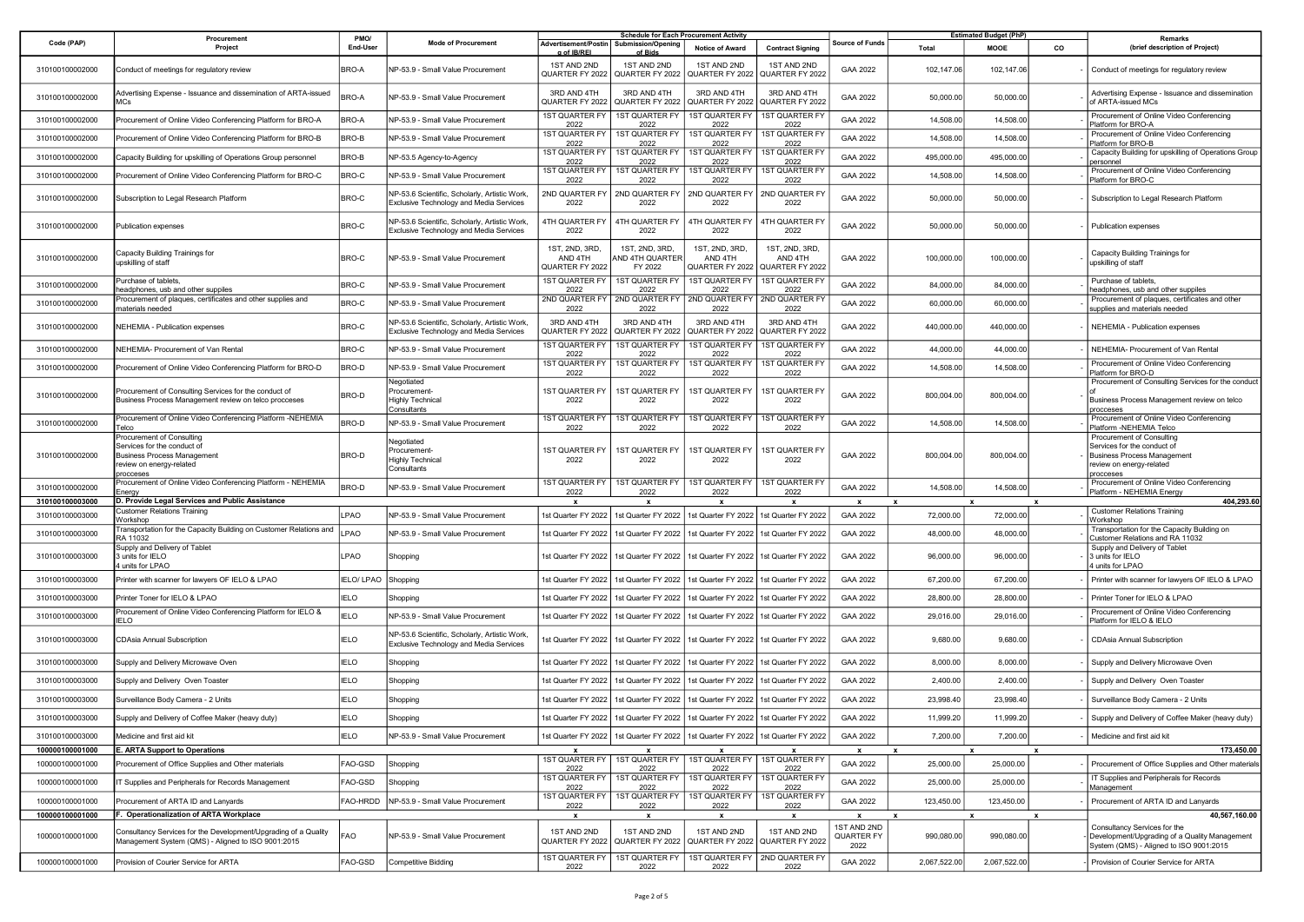|                                    | Procurement                                                                                                                                                     | PMO/              |                                                                                          |                                                          | <b>Schedule for Each Procurement Activity</b> |                                                                                       |                                                        |                                                   |                                         | <b>Estimated Budget (PhP)</b> |    | Remarks                                                                                                                                   |  |
|------------------------------------|-----------------------------------------------------------------------------------------------------------------------------------------------------------------|-------------------|------------------------------------------------------------------------------------------|----------------------------------------------------------|-----------------------------------------------|---------------------------------------------------------------------------------------|--------------------------------------------------------|---------------------------------------------------|-----------------------------------------|-------------------------------|----|-------------------------------------------------------------------------------------------------------------------------------------------|--|
| Code (PAP)                         | Project                                                                                                                                                         | End-Use           | <b>Mode of Procurement</b>                                                               | Advertisement/Postin   Submission/Opening<br>g of IB/REI | of Bids                                       | Notice of Award                                                                       | <b>Contract Signing</b>                                | <b>Source of Funds</b>                            | Total                                   | MOOE                          | co | (brief description of Project)                                                                                                            |  |
| 310100100002000                    | Conduct of meetings for regulatory review                                                                                                                       | BRO-A             | NP-53.9 - Small Value Procurement                                                        | 1ST AND 2ND<br>QUARTER FY 2022                           | 1ST AND 2ND<br>QUARTER FY 2022                | 1ST AND 2ND<br>QUARTER FY 2022                                                        | 1ST AND 2ND<br>QUARTER FY 2022                         | GAA 2022                                          | 102,147.06                              | 102,147.06                    |    | Conduct of meetings for regulatory review                                                                                                 |  |
| 310100100002000                    | Advertising Expense - Issuance and dissemination of ARTA-issued                                                                                                 | <b>BRO-A</b>      | NP-53.9 - Small Value Procurement                                                        | 3RD AND 4TH<br>QUARTER FY 2022                           | 3RD AND 4TH<br>QUARTER FY 2022                | 3RD AND 4TH<br>QUARTER FY 2022                                                        | 3RD AND 4TH<br>QUARTER FY 2022                         | GAA 2022                                          | 50,000.00                               | 50,000.00                     |    | Advertising Expense - Issuance and dissemination<br>of ARTA-issued MCs                                                                    |  |
| 310100100002000                    | Procurement of Online Video Conferencing Platform for BRO-A                                                                                                     | BRO-A             | NP-53.9 - Small Value Procurement                                                        | 1ST QUARTER FY<br>2022                                   | <b>1ST QUARTER FY</b><br>2022                 | <b>IST QUARTER FY</b><br>2022                                                         | <b>1ST QUARTER FY</b><br>2022                          | GAA 2022                                          | 14,508.00                               | 14,508.00                     |    | Procurement of Online Video Conferencing<br>Platform for BRO-A                                                                            |  |
| 310100100002000                    | Procurement of Online Video Conferencing Platform for BRO-B                                                                                                     | BRO-B             | NP-53.9 - Small Value Procurement                                                        | <b>1ST QUARTER FY</b><br>2022                            | <b>1ST QUARTER FY</b><br>2022                 | <b>1ST QUARTER FY</b><br>2022                                                         | <b>1ST QUARTER FY</b><br>2022                          | GAA 2022                                          | 14,508.00                               | 14,508.00                     |    | Procurement of Online Video Conferencing<br>Platform for BRO-B                                                                            |  |
| 310100100002000                    | Capacity Building for upskilling of Operations Group personnel                                                                                                  | BRO-B             | NP-53.5 Agency-to-Agency                                                                 | <b>1ST QUARTER FY</b><br>2022                            | 1ST QUARTER FY<br>2022                        | <b>1ST QUARTER FY</b><br>2022                                                         | 1ST QUARTER FY<br>2022                                 | GAA 2022                                          | 495,000.00                              | 495,000.00                    |    | Capacity Building for upskilling of Operations Group<br>personnel                                                                         |  |
| 310100100002000                    | Procurement of Online Video Conferencing Platform for BRO-C                                                                                                     | BRO-C             | VP-53.9 - Small Value Procurement                                                        | 1ST QUARTER FY<br>2022                                   | 1ST QUARTER FY<br>2022                        | 1ST QUARTER FY<br>2022                                                                | 1ST QUARTER FY<br>2022                                 | GAA 2022                                          | 14,508.00                               | 14,508.00                     |    | Procurement of Online Video Conferencing<br>Platform for BRO-C                                                                            |  |
| 310100100002000                    | Subscription to Legal Research Platform                                                                                                                         | BRO-C             | NP-53.6 Scientific, Scholarly, Artistic Work,<br>Exclusive Technology and Media Services | 2ND QUARTER FY<br>2022                                   | 2ND QUARTER FY<br>2022                        | 2ND QUARTER FY<br>2022                                                                | 2ND QUARTER FY<br>2022                                 | GAA 2022                                          | 50,000.00                               | 50,000.00                     |    | Subscription to Legal Research Platform                                                                                                   |  |
| 310100100002000                    | Publication expenses                                                                                                                                            | BRO-C             | NP-53.6 Scientific, Scholarly, Artistic Work,<br>Exclusive Technology and Media Services | 4TH QUARTER FY<br>2022                                   | 4TH QUARTER FY<br>2022                        | <b>4TH QUARTER FY</b><br>2022                                                         | 4TH QUARTER FY<br>2022                                 | GAA 2022                                          | 50,000.00                               | 50,000.00                     |    | Publication expenses                                                                                                                      |  |
| 310100100002000                    | Capacity Building Trainings for<br>upskilling of staff                                                                                                          | BRO-C             | NP-53.9 - Small Value Procurement                                                        | 1ST, 2ND, 3RD,<br>AND 4TH<br>QUARTER FY 2022             | 1ST, 2ND, 3RD,<br>AND 4TH QUARTER<br>FY 2022  | 1ST, 2ND, 3RD,<br>AND 4TH<br>QUARTER FY 2022                                          | 1ST, 2ND, 3RD,<br>AND 4TH<br>QUARTER FY 2022           | GAA 2022                                          | 100,000.00                              | 100,000.00                    |    | Capacity Building Trainings for<br>upskilling of staff                                                                                    |  |
| 310100100002000                    | urchase of tablets,<br>eadphones, usb and other suppiles                                                                                                        | BRO-C             | NP-53.9 - Small Value Procurement                                                        | <b>1ST QUARTER FY</b><br>2022                            | <b>1ST QUARTER FY</b><br>2022                 | <b>1ST QUARTER FY</b><br>2022                                                         | 1ST QUARTER FY<br>2022                                 | GAA 2022                                          | 84,000.00                               | 84,000.00                     |    | Purchase of tablets,<br>headphones, usb and other suppiles                                                                                |  |
| 310100100002000                    | Procurement of plaques, certificates and other supplies and<br>naterials needed                                                                                 | BRO-C             | NP-53.9 - Small Value Procurement                                                        | 2022                                                     | 2ND QUARTER FY   2ND QUARTER FY<br>2022       | 2ND QUARTER FY<br>2022                                                                | 2ND QUARTER FY<br>2022                                 | GAA 2022                                          | 60,000.00                               | 60,000.00                     |    | Procurement of plaques, certificates and other<br>supplies and materials needed                                                           |  |
| 310100100002000                    | NEHEMIA - Publication expenses                                                                                                                                  | BRO-C             | NP-53.6 Scientific, Scholarly, Artistic Work,<br>Exclusive Technology and Media Services | 3RD AND 4TH<br>QUARTER FY 2022                           | 3RD AND 4TH<br>QUARTER FY 2022                | 3RD AND 4TH<br>QUARTER FY 2022                                                        | 3RD AND 4TH<br>QUARTER FY 2022                         | GAA 2022                                          | 440,000.00                              | 440,000.00                    |    | NEHEMIA - Publication expenses                                                                                                            |  |
| 310100100002000                    | VEHEMIA- Procurement of Van Rental                                                                                                                              | BRO-C             | NP-53.9 - Small Value Procurement                                                        | 1ST QUARTER FY<br>2022                                   | 1ST QUARTER FY<br>2022                        | <b>IST QUARTER FY</b><br>2022                                                         | <b>1ST QUARTER FY</b><br>2022                          | GAA 2022                                          | 44,000.00                               | 44,000.00                     |    | NEHEMIA- Procurement of Van Rental                                                                                                        |  |
| 310100100002000                    | Procurement of Online Video Conferencing Platform for BRO-D                                                                                                     | <b>BRO-D</b>      | NP-53.9 - Small Value Procurement                                                        | 1ST QUARTER FY<br>2022                                   | 1ST QUARTER FY<br>2022                        | 1ST QUARTER FY<br>2022                                                                | <b>1ST QUARTER FY</b><br>2022                          | GAA 2022                                          | 14,508.00                               | 14,508.00                     |    | Procurement of Online Video Conferencing<br>Platform for BRO-D                                                                            |  |
| 310100100002000                    | Procurement of Consulting Services for the conduct of<br>Business Process Management review on telco procceses                                                  | BRO-D             | Vegotiated<br>Procurement-<br>lighly Technical<br>Consultants                            | 1ST QUARTER FY<br>2022                                   | 1ST QUARTER FY<br>2022                        | <b>1ST QUARTER FY</b><br>2022                                                         | <b>1ST QUARTER FY</b><br>2022                          | GAA 2022                                          | 800,004.00                              | 800,004.00                    |    | Procurement of Consulting Services for the conduct<br>Business Process Management review on telco<br>rocceses                             |  |
| 310100100002000                    | Procurement of Online Video Conferencing Platform -NEHEMIA<br>elco                                                                                              | BRO-D             | NP-53.9 - Small Value Procurement                                                        | 1ST QUARTER FY<br>2022                                   | <b>1ST QUARTER FY</b><br>2022                 | 1ST QUARTER FY<br>2022                                                                | 1ST QUARTER FY<br>2022                                 | GAA 2022                                          | 14,508.00                               | 14,508.00                     |    | Procurement of Online Video Conferencing<br>Platform -NEHEMIA Telco                                                                       |  |
| 310100100002000                    | Procurement of Consulting<br>Services for the conduct of<br><b>Business Process Management</b><br>eview on energy-related<br>rocceses                           | BRO-D             | legotiated<br>Procurement-<br><b>Highly Technical</b><br>Consultants                     | 1ST QUARTER FY<br>2022                                   | 1ST QUARTER FY<br>2022                        | <b>1ST QUARTER FY</b><br>2022                                                         | 1ST QUARTER FY<br>2022                                 | GAA 2022                                          | 800,004.00                              | 800,004.00                    |    | Procurement of Consulting<br>Services for the conduct of<br><b>Business Process Management</b><br>review on energy-related<br>procceses   |  |
| 310100100002000                    | Procurement of Online Video Conferencing Platform - NEHEMIA<br>:nerav                                                                                           | BRO-D             | NP-53.9 - Small Value Procurement                                                        | 1ST QUARTER FY<br>2022                                   | <b>1ST QUARTER FY</b><br>2022                 | <b>1ST QUARTER FY</b><br>2022                                                         | 1ST QUARTER FY<br>2022                                 | GAA 2022                                          | 14,508.00                               | 14,508.00                     |    | Procurement of Online Video Conferencing<br>Platform - NEHEMIA Energy                                                                     |  |
| 310100100003000                    | 1. Provide Legal Services and Public Assistance                                                                                                                 |                   |                                                                                          |                                                          | $\boldsymbol{\mathsf{x}}$                     | $\boldsymbol{\mathsf{x}}$                                                             | $\mathbf{x}$                                           | $\mathbf{x}$                                      |                                         |                               |    | 404,293.60                                                                                                                                |  |
| 310100100003000                    | ustomer Relations Training<br>Vorkshop                                                                                                                          | LPAO              | NP-53.9 - Small Value Procurement                                                        |                                                          | 1st Quarter FY 2022   1st Quarter FY 2022     | 1st Quarter FY 2022                                                                   | 1st Quarter FY 2022                                    | GAA 2022                                          | 72,000.00                               | 72,000.00                     |    | <b>Customer Relations Training</b><br>Workshop                                                                                            |  |
| 310100100003000                    | ransportation for the Capacity Building on Customer Relations and<br>RA 11032                                                                                   | LPAO              | NP-53.9 - Small Value Procurement                                                        | 1st Quarter FY 2022                                      | 1st Quarter FY 2022                           | 1st Quarter FY 2022                                                                   | 1st Quarter FY 2022                                    | GAA 2022                                          | 48,000.00                               | 48,000.00                     |    | Transportation for the Capacity Building on<br>Customer Relations and RA 11032                                                            |  |
| 310100100003000                    | Supply and Delivery of Tablet<br>3 units for IELO<br>units for LPAO                                                                                             | LPAO              | Shopping                                                                                 | 1st Quarter FY 2022                                      | 1st Quarter FY 2022                           | 1st Quarter FY 2022                                                                   | 1st Quarter FY 2022                                    | GAA 2022                                          | 96,000.00                               | 96,000.00                     |    | Supply and Delivery of Tablet<br>3 units for IELO<br>units for LPAO                                                                       |  |
| 310100100003000                    | Printer with scanner for lawyers OF IELO & LPAO                                                                                                                 | <b>IELO/ LPAO</b> | Shopping                                                                                 | 1st Quarter FY 2022                                      | 1st Quarter FY 2022                           | 1st Quarter FY 2022                                                                   | 1st Quarter FY 2022                                    | GAA 2022                                          | 67,200.00                               | 67,200.00                     |    | Printer with scanner for lawyers OF IELO & LPAO                                                                                           |  |
| 310100100003000                    | Printer Toner for IELO & LPAO                                                                                                                                   | IELO              | Shopping                                                                                 | 1st Quarter FY 2022                                      | 1st Quarter FY 2022                           | 1st Quarter FY 2022                                                                   | 1st Quarter FY 2022                                    | GAA 2022                                          | 28,800.00                               | 28,800.00                     |    | Printer Toner for IELO & LPAO                                                                                                             |  |
| 310100100003000                    | Procurement of Online Video Conferencing Platform for IELO &<br>ELO                                                                                             | <b>IELO</b>       | VP-53.9 - Small Value Procurement                                                        | 1st Quarter FY 2022                                      | 1st Quarter FY 2022                           | 1st Quarter FY 2022                                                                   | 1st Quarter FY 2022                                    | GAA 2022                                          | 29,016.00                               | 29,016.00                     |    | Procurement of Online Video Conferencing<br>Platform for IELO & IELO                                                                      |  |
| 310100100003000                    | <b>CDAsia Annual Subscription</b>                                                                                                                               | IELO              | NP-53.6 Scientific, Scholarly, Artistic Work,<br>Exclusive Technology and Media Services | 1st Quarter FY 2022                                      | 1st Quarter FY 2022                           | 1st Quarter FY 2022                                                                   | 1st Quarter FY 2022                                    | GAA 2022                                          | 9,680.00                                | 9,680.00                      |    | <b>CDAsia Annual Subscription</b>                                                                                                         |  |
| 310100100003000                    | Supply and Delivery Microwave Oven                                                                                                                              | <b>IELO</b>       | Shopping                                                                                 | 1st Quarter FY 2022                                      | 1st Quarter FY 2022                           | 1st Quarter FY 2022                                                                   | 1st Quarter FY 2022                                    | GAA 2022                                          | 8,000.00                                | 8,000.00                      |    | Supply and Delivery Microwave Oven                                                                                                        |  |
| 310100100003000                    | Supply and Delivery Oven Toaster                                                                                                                                | IELO              | Shopping                                                                                 | 1st Quarter FY 2022                                      | 1st Quarter FY 2022                           | 1st Quarter FY 2022                                                                   | 1st Quarter FY 2022                                    | GAA 2022                                          | 2,400.00                                | 2,400.00                      |    | Supply and Delivery Oven Toaster                                                                                                          |  |
| 310100100003000                    | Surveillance Body Camera - 2 Units                                                                                                                              | IELO              | Shopping                                                                                 | 1st Quarter FY 2022                                      | 1st Quarter FY 2022                           | 1st Quarter FY 2022                                                                   | 1st Quarter FY 2022                                    | GAA 2022                                          | 23,998.40                               | 23,998.40                     |    | Surveillance Body Camera - 2 Units                                                                                                        |  |
| 310100100003000                    | Supply and Delivery of Coffee Maker (heavy duty)                                                                                                                | <b>IELO</b>       | Shopping                                                                                 |                                                          | 1st Quarter FY 2022   1st Quarter FY 2022     | 1st Quarter FY 2022                                                                   | 1st Quarter FY 2022                                    | GAA 2022                                          | 11,999.20                               | 11,999.20                     |    | Supply and Delivery of Coffee Maker (heavy duty)                                                                                          |  |
| 310100100003000                    | Medicine and first aid kit                                                                                                                                      | <b>IELO</b>       | NP-53.9 - Small Value Procurement                                                        |                                                          |                                               | 1st Quarter FY 2022   1st Quarter FY 2022   1st Quarter FY 2022   1st Quarter FY 2022 |                                                        | GAA 2022                                          | 7,200.00                                | 7,200.00                      |    | Medicine and first aid kit                                                                                                                |  |
| 100000100001000                    | E. ARTA Support to Operations                                                                                                                                   |                   |                                                                                          |                                                          | <b>1ST QUARTER FY</b>                         |                                                                                       |                                                        | $\mathbf{x}$                                      |                                         |                               |    | 173,450.00                                                                                                                                |  |
| 100000100001000                    | Procurement of Office Supplies and Other materials                                                                                                              | FAO-GSD           | Shopping                                                                                 | <b>1ST QUARTER FY</b><br>2022<br><b>1ST QUARTER FY</b>   | 2022                                          | <b>1ST QUARTER FY</b><br>2022                                                         | 1ST QUARTER FY<br>2022                                 | GAA 2022                                          | 25,000.00                               | 25,000.00                     |    | Procurement of Office Supplies and Other materials                                                                                        |  |
| 100000100001000                    | <b>F Supplies and Peripherals for Records Management</b>                                                                                                        | FAO-GSD           | Shopping                                                                                 | 2022                                                     | <b>1ST QUARTER FY</b><br>2022                 | <b>1ST QUARTER FY</b><br>2022                                                         | <b>1ST QUARTER FY</b><br>2022<br><b>1ST QUARTER FY</b> | GAA 2022                                          | 25,000.00                               | 25,000.00                     |    | IT Supplies and Peripherals for Records<br>Management                                                                                     |  |
| 100000100001000                    | Procurement of ARTA ID and Lanyards                                                                                                                             | FAO-HRDD          | VP-53.9 - Small Value Procurement                                                        | <b>1ST QUARTER FY</b><br>2022                            | <b>1ST QUARTER FY</b><br>2022                 | <b>1ST QUARTER FY</b><br>2022                                                         | 2022                                                   | GAA 2022                                          | 123,450.00                              | 123,450.00                    |    | Procurement of ARTA ID and Lanyards                                                                                                       |  |
| 100000100001000<br>100000100001000 | . Operationalization of ARTA Workplace<br>Consultancy Services for the Development/Upgrading of a Quality<br>Management System (QMS) - Aligned to ISO 9001:2015 | -AO               | NP-53.9 - Small Value Procurement                                                        | $\mathbf{x}$<br>1ST AND 2ND<br>QUARTER FY 2022           | x<br>1ST AND 2ND<br>QUARTER FY 2022           | $\mathbf{x}$<br>1ST AND 2ND<br>QUARTER FY 2022                                        | $\pmb{\mathsf{x}}$<br>1ST AND 2ND<br>QUARTER FY 2022   | $\mathbf{x}$<br>1ST AND 2ND<br>QUARTER FY<br>2022 | $\boldsymbol{\mathsf{x}}$<br>990,080.00 | 990,080.00                    | x  | 40,567,160.00<br>Consultancy Services for the<br>Development/Upgrading of a Quality Management<br>System (QMS) - Aligned to ISO 9001:2015 |  |
| 100000100001000                    | Provision of Courier Service for ARTA                                                                                                                           | FAO-GSD           | Competitive Bidding                                                                      | 1ST QUARTER FY<br>2022                                   | 1ST QUARTER FY<br>2022                        | <b>1ST QUARTER FY</b><br>2022                                                         | 2ND QUARTER FY<br>2022                                 | GAA 2022                                          | 2,067,522.00                            | 2,067,522.00                  |    | Provision of Courier Service for ARTA                                                                                                     |  |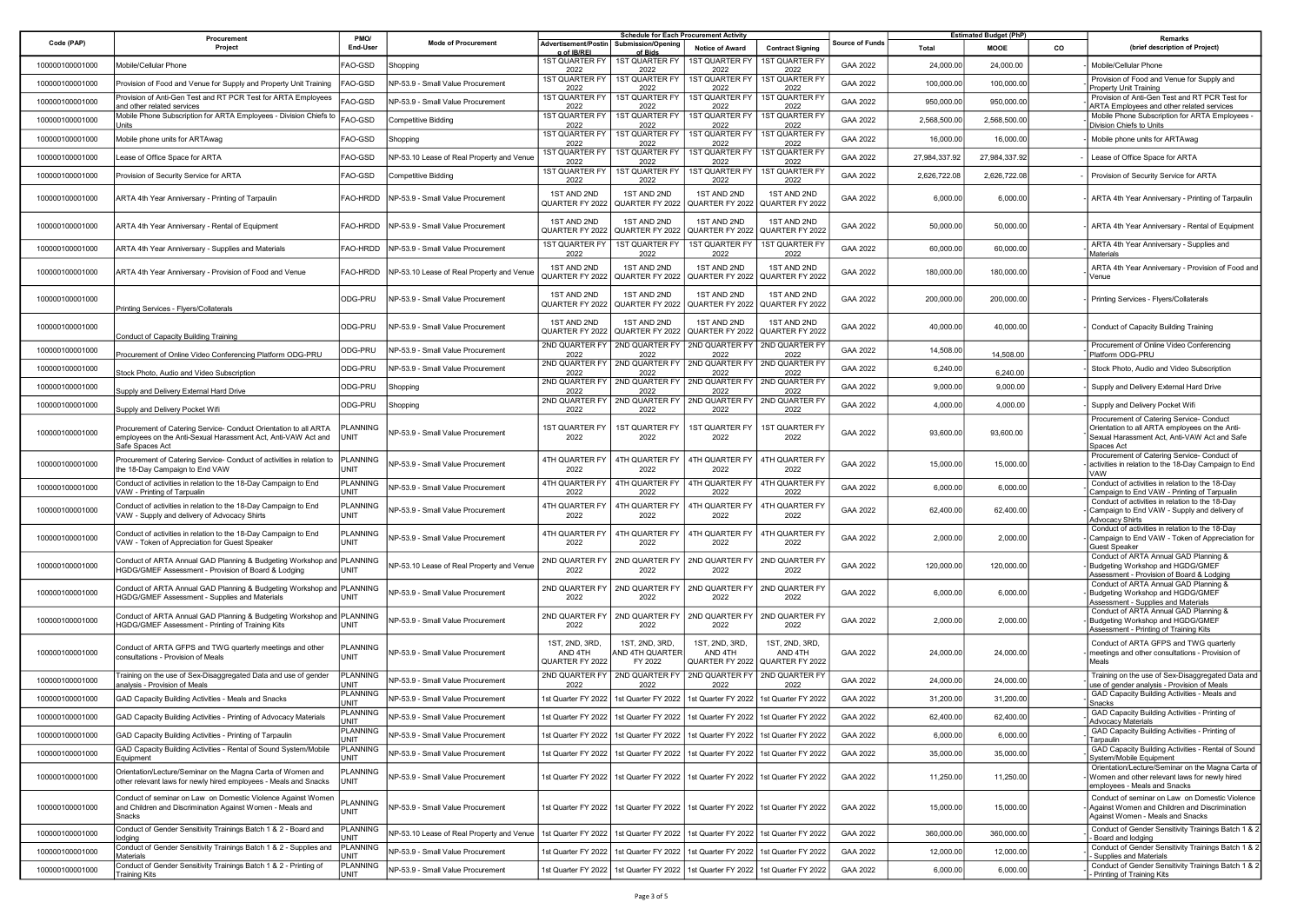|                 | Procurement                                                                                                                                          | PMO/                           |                                           |                                              | <b>Schedule for Each Procurement Activity</b>                                         |                                              |                                                                                       |                 |               | <b>Estimated Budget (PhP)</b> |    | Remarks                                                                                                                                                  |
|-----------------|------------------------------------------------------------------------------------------------------------------------------------------------------|--------------------------------|-------------------------------------------|----------------------------------------------|---------------------------------------------------------------------------------------|----------------------------------------------|---------------------------------------------------------------------------------------|-----------------|---------------|-------------------------------|----|----------------------------------------------------------------------------------------------------------------------------------------------------------|
| Code (PAP)      | Project                                                                                                                                              | End-User                       | <b>Mode of Procurement</b>                | Advertisement/Postin<br>g of IB/REI          | Submission/Openin<br>of Bids                                                          | Notice of Award                              | <b>Contract Signing</b>                                                               | Source of Funds | Total         | <b>MOOE</b>                   | co | (brief description of Project)                                                                                                                           |
| 100000100001000 | Mobile/Cellular Phone                                                                                                                                | FAO-GSD                        | Shopping                                  | <b>1ST QUARTER F</b><br>2022                 | <b>1ST QUARTER FY</b><br>2022                                                         | <b>1ST QUARTER FY</b><br>2022                | <b>1ST QUARTER FY</b><br>2022                                                         | GAA 2022        | 24,000.00     | 24,000.00                     |    | Mobile/Cellular Phone                                                                                                                                    |
| 100000100001000 | Provision of Food and Venue for Supply and Property Unit Training                                                                                    | FAO-GSD                        | NP-53.9 - Small Value Procurement         | <b>1ST QUARTER FY</b><br>2022                | 1ST QUARTER FY<br>2022                                                                | <b>1ST QUARTER FY</b><br>2022                | <b>1ST QUARTER FY</b><br>2022                                                         | GAA 2022        | 100,000.00    | 100,000.00                    |    | Provision of Food and Venue for Supply and<br>Property Unit Training                                                                                     |
| 100000100001000 | Provision of Anti-Gen Test and RT PCR Test for ARTA Employees<br>and other related services                                                          | FAO-GSD                        | NP-53.9 - Small Value Procurement         | <b>1ST QUARTER FY</b><br>2022                | 1ST QUARTER FY<br>2022                                                                | <b>1ST QUARTER FY</b><br>2022                | <b>1ST QUARTER FY</b><br>2022                                                         | GAA 2022        | 950,000.00    | 950,000.00                    |    | Provision of Anti-Gen Test and RT PCR Test for<br>ARTA Employees and other related services                                                              |
| 100000100001000 | Mobile Phone Subscription for ARTA Employees - Division Chiefs to<br>Jnits                                                                           | FAO-GSD                        | Competitive Bidding                       | 1ST QUARTER FY<br>2022                       | 1ST QUARTER FY<br>2022                                                                | 1ST QUARTER FY<br>2022                       | 1ST QUARTER FY<br>2022                                                                | GAA 2022        | 2,568,500.00  | 2,568,500.00                  |    | Mobile Phone Subscription for ARTA Employees -<br>Division Chiefs to Units                                                                               |
| 100000100001000 | Mobile phone units for ARTAwag                                                                                                                       | FAO-GSD                        | Shopping                                  | <b>1ST QUARTER FY</b><br>2022                | 1ST QUARTER FY<br>2022                                                                | 1ST QUARTER FY<br>2022                       | 1ST QUARTER FY<br>2022                                                                | GAA 2022        | 16,000.00     | 16,000.00                     |    | Mobile phone units for ARTAwag                                                                                                                           |
| 100000100001000 | Lease of Office Space for ARTA                                                                                                                       | FAO-GSD                        | VP-53.10 Lease of Real Property and Venue | <b>1ST QUARTER FY</b><br>2022                | 1ST QUARTER FY<br>2022                                                                | 1ST QUARTER FY<br>2022                       | 1ST QUARTER FY<br>2022                                                                | GAA 2022        | 27,984,337.92 | 27,984,337.92                 |    | Lease of Office Space for ARTA                                                                                                                           |
| 100000100001000 | Provision of Security Service for ARTA                                                                                                               | FAO-GSD                        | Competitive Bidding                       | <b>1ST QUARTER FY</b><br>2022                | 1ST QUARTER FY<br>2022                                                                | 1ST QUARTER FY<br>2022                       | 1ST QUARTER FY<br>2022                                                                | GAA 2022        | 2,626,722.08  | 2,626,722.08                  |    | Provision of Security Service for ARTA                                                                                                                   |
| 100000100001000 | ARTA 4th Year Anniversary - Printing of Tarpaulin                                                                                                    | FAO-HRDD                       | NP-53.9 - Small Value Procurement         | 1ST AND 2ND<br>QUARTER FY 2022               | 1ST AND 2ND<br>QUARTER FY 2022                                                        | 1ST AND 2ND<br>QUARTER FY 2022               | 1ST AND 2ND<br>QUARTER FY 2022                                                        | GAA 2022        | 6,000.00      | 6,000.00                      |    | ARTA 4th Year Anniversary - Printing of Tarpaulin                                                                                                        |
| 100000100001000 | ARTA 4th Year Anniversary - Rental of Equipment                                                                                                      | FAO-HRDD                       | NP-53.9 - Small Value Procurement         | 1ST AND 2ND<br>QUARTER FY 2022               | 1ST AND 2ND<br>QUARTER FY 2022                                                        | 1ST AND 2ND<br>QUARTER FY 2022               | 1ST AND 2ND<br>QUARTER FY 2022                                                        | GAA 2022        | 50,000.00     | 50,000.00                     |    | ARTA 4th Year Anniversary - Rental of Equipment                                                                                                          |
| 100000100001000 | ARTA 4th Year Anniversary - Supplies and Materials                                                                                                   | FAO-HRDD                       | NP-53.9 - Small Value Procurement         | 1ST QUARTER FY<br>2022                       | 1ST QUARTER FY<br>2022                                                                | <b>1ST QUARTER FY</b><br>2022                | 1ST QUARTER FY<br>2022                                                                | GAA 2022        | 60,000.00     | 60,000.00                     |    | ARTA 4th Year Anniversary - Supplies and<br>Materials                                                                                                    |
| 100000100001000 | ARTA 4th Year Anniversary - Provision of Food and Venue                                                                                              | FAO-HRDD                       | NP-53.10 Lease of Real Property and Venue | 1ST AND 2ND<br>QUARTER FY 2022               | 1ST AND 2ND<br>QUARTER FY 2022                                                        | 1ST AND 2ND<br>QUARTER FY 2022               | 1ST AND 2ND<br>QUARTER FY 2022                                                        | GAA 2022        | 180,000.00    | 180,000.00                    |    | ARTA 4th Year Anniversary - Provision of Food and<br>Venue                                                                                               |
| 100000100001000 | Printing Services - Flyers/Collaterals                                                                                                               | ODG-PRU                        | NP-53.9 - Small Value Procurement         | 1ST AND 2ND<br>QUARTER FY 2022               | 1ST AND 2ND<br>QUARTER FY 2022                                                        | 1ST AND 2ND<br>QUARTER FY 2022               | 1ST AND 2ND<br>QUARTER FY 2022                                                        | GAA 2022        | 200,000.00    | 200,000.00                    |    | Printing Services - Flyers/Collaterals                                                                                                                   |
| 100000100001000 | <b>Conduct of Capacity Building Training</b>                                                                                                         | ODG-PRU                        | NP-53.9 - Small Value Procurement         | 1ST AND 2ND<br>QUARTER FY 2022               | 1ST AND 2ND<br>QUARTER FY 2022                                                        | 1ST AND 2ND                                  | 1ST AND 2ND<br>QUARTER FY 2022 QUARTER FY 2022                                        | GAA 2022        | 40,000.00     | 40,000.00                     |    | Conduct of Capacity Building Training                                                                                                                    |
| 100000100001000 | Procurement of Online Video Conferencing Platform ODG-PRL                                                                                            | ODG-PRU                        | VP-53.9 - Small Value Procurement         | 2ND QUARTER FY<br>2022                       | 2ND QUARTER FY<br>2022                                                                | 2ND QUARTER FY<br>2022                       | 2ND QUARTER FY<br>2022                                                                | GAA 2022        | 14,508.00     | 14,508.00                     |    | Procurement of Online Video Conferencing<br>Platform ODG-PRU                                                                                             |
| 100000100001000 | Stock Photo, Audio and Video Subscription                                                                                                            | ODG-PRU                        | VP-53.9 - Small Value Procurement         | 2ND QUARTER FY<br>2022                       | 2ND QUARTER FY<br>2022                                                                | 2ND QUARTER FY<br>2022                       | 2ND QUARTER FY<br>2022                                                                | GAA 2022        | 6,240.00      | 6,240.00                      |    | Stock Photo, Audio and Video Subscription                                                                                                                |
| 100000100001000 | Supply and Delivery External Hard Drive                                                                                                              | ODG-PRU                        | Shopping                                  | 2ND QUARTER FY<br>2022                       | 2ND QUARTER FY<br>2022                                                                | 2ND QUARTER FY<br>2022                       | 2ND QUARTER FY<br>2022                                                                | GAA 2022        | 9,000.00      | 9,000.00                      |    | Supply and Delivery External Hard Drive                                                                                                                  |
| 100000100001000 | Supply and Delivery Pocket Wifi                                                                                                                      | ODG-PRU                        | Shopping                                  | 2ND QUARTER FY<br>2022                       | 2ND QUARTER FY<br>2022                                                                | 2ND QUARTER FY<br>2022                       | 2ND QUARTER FY<br>2022                                                                | GAA 2022        | 4,000.00      | 4,000.00                      |    | Supply and Delivery Pocket Wifi                                                                                                                          |
| 100000100001000 | Procurement of Catering Service- Conduct Orientation to all ARTA<br>employees on the Anti-Sexual Harassment Act, Anti-VAW Act and<br>Safe Spaces Act | PLANNING<br><b>JNIT</b>        | <b>VP-53.9 - Small Value Procurement</b>  | 1ST QUARTER FY<br>2022                       | 1ST QUARTER FY<br>2022                                                                | 1ST QUARTER FY<br>2022                       | <b>1ST QUARTER FY</b><br>2022                                                         | GAA 2022        | 93,600.00     | 93,600.00                     |    | Procurement of Catering Service- Conduct<br>Orientation to all ARTA employees on the Anti-<br>Sexual Harassment Act, Anti-VAW Act and Safe<br>Spaces Act |
| 100000100001000 | Procurement of Catering Service- Conduct of activities in relation to<br>the 18-Day Campaign to End VAW                                              | PLANNING<br>UNIT               | VP-53.9 - Small Value Procurement         | 4TH QUARTER FY<br>2022                       | 4TH QUARTER FY<br>2022                                                                | 4TH QUARTER FY<br>2022                       | 4TH QUARTER FY<br>2022                                                                | GAA 2022        | 15,000.00     | 15,000.00                     |    | Procurement of Catering Service- Conduct of<br>activities in relation to the 18-Day Campaign to End<br>VAW                                               |
| 100000100001000 | Conduct of activities in relation to the 18-Day Campaign to End<br>VAW - Printing of Tarpualin                                                       | <b>PLANNING</b><br><b>JNIT</b> | NP-53.9 - Small Value Procurement         | 4TH QUARTER FY<br>2022                       | 4TH QUARTER FY<br>2022                                                                | 4TH QUARTER FY<br>2022                       | 4TH QUARTER FY<br>2022                                                                | GAA 2022        | 6,000.00      | 6,000.00                      |    | Conduct of activities in relation to the 18-Day<br>Campaign to End VAW - Printing of Tarpualin                                                           |
| 100000100001000 | Conduct of activities in relation to the 18-Day Campaign to End<br>VAW - Supply and delivery of Advocacy Shirts                                      | PLANNING<br>UNIT               | VP-53.9 - Small Value Procurement         | 4TH QUARTER FY<br>2022                       | 4TH QUARTER FY<br>2022                                                                | <b>4TH QUARTER FY</b><br>2022                | 4TH QUARTER F<br>2022                                                                 | GAA 2022        | 62,400.00     | 62,400.00                     |    | Conduct of activities in relation to the 18-Day<br>Campaign to End VAW - Supply and delivery of<br>Advocacy Shirts                                       |
| 100000100001000 | Conduct of activities in relation to the 18-Day Campaign to End<br>VAW - Token of Appreciation for Guest Speaker                                     | PLANNING<br>UNIT               | VP-53.9 - Small Value Procurement         | 4TH QUARTER FY<br>2022                       | 4TH QUARTER FY<br>2022                                                                | 4TH QUARTER FY<br>2022                       | 4TH QUARTER FY<br>2022                                                                | GAA 2022        | 2,000.00      | 2,000.00                      |    | Conduct of activities in relation to the 18-Day<br>Campaign to End VAW - Token of Appreciation for<br><b>Guest Speaker</b>                               |
| 100000100001000 | Conduct of ARTA Annual GAD Planning & Budgeting Workshop and PLANNING<br>HGDG/GMEF Assessment - Provision of Board & Lodging                         | UNIT                           | VP-53.10 Lease of Real Property and Venue | 2ND QUARTER FY<br>2022                       | 2ND QUARTER FY<br>2022                                                                | 2ND QUARTER FY<br>2022                       | 2ND QUARTER FY<br>2022                                                                | GAA 2022        | 120,000.00    | 120,000.00                    |    | Conduct of ARTA Annual GAD Planning &<br>Budgeting Workshop and HGDG/GMEF<br>Assessment - Provision of Board & Lodging                                   |
| 100000100001000 | Conduct of ARTA Annual GAD Planning & Budgeting Workshop and PLANNING<br>HGDG/GMEF Assessment - Supplies and Materials                               | <b>UNIT</b>                    | VP-53.9 - Small Value Procurement         | 2ND QUARTER FY<br>2022                       | 2ND QUARTER FY<br>2022                                                                | 2ND QUARTER FY<br>2022                       | 2ND QUARTER FY<br>2022                                                                | GAA 2022        | 6,000.00      | 6,000.00                      |    | Conduct of ARTA Annual GAD Planning &<br>Budgeting Workshop and HGDG/GMEF<br>Assessment - Supplies and Materials                                         |
| 100000100001000 | Conduct of ARTA Annual GAD Planning & Budgeting Workshop and PLANNING<br>HGDG/GMEF Assessment - Printing of Training Kits                            | <b>UNIT</b>                    | NP-53.9 - Small Value Procurement         | 2ND QUARTER FY<br>2022                       | 2ND QUARTER FY<br>2022                                                                | 2ND QUARTER FY<br>2022                       | 2ND QUARTER FY<br>2022                                                                | GAA 2022        | 2,000.00      | 2,000.00                      |    | Conduct of ARTA Annual GAD Planning &<br>Budgeting Workshop and HGDG/GMEF<br>Assessment - Printing of Training Kits                                      |
| 100000100001000 | Conduct of ARTA GFPS and TWG quarterly meetings and other<br>consultations - Provision of Meals                                                      | PLANNING<br><b>JNIT</b>        | NP-53.9 - Small Value Procurement         | 1ST, 2ND, 3RD.<br>AND 4TH<br>QUARTER FY 2022 | 1ST, 2ND, 3RD,<br>AND 4TH QUARTER<br>FY 2022                                          | 1ST, 2ND, 3RD,<br>AND 4TH<br>QUARTER FY 2022 | 1ST, 2ND, 3RD,<br>AND 4TH<br>QUARTER FY 2022                                          | GAA 2022        | 24,000.00     | 24,000.00                     |    | Conduct of ARTA GFPS and TWG quarterly<br>meetings and other consultations - Provision of<br>Meals                                                       |
| 100000100001000 | Training on the use of Sex-Disaggregated Data and use of gender<br>analysis - Provision of Meals                                                     | PLANNING<br><b>JNIT</b>        | NP-53.9 - Small Value Procurement         | 2ND QUARTER FY<br>2022                       | 2ND QUARTER FY<br>2022                                                                | 2ND QUARTER FY<br>2022                       | 2ND QUARTER FY<br>2022                                                                | GAA 2022        | 24,000.00     | 24,000.00                     |    | Training on the use of Sex-Disaggregated Data and<br>use of gender analysis - Provision of Meals                                                         |
| 100000100001000 | GAD Capacity Building Activities - Meals and Snacks                                                                                                  | PLANNING<br><b>JNIT</b>        | NP-53.9 - Small Value Procurement         | 1st Quarter FY 2022                          | 1st Quarter FY 2022                                                                   |                                              | 1st Quarter FY 2022   1st Quarter FY 2022                                             | GAA 2022        | 31,200.00     | 31,200.00                     |    | GAD Capacity Building Activities - Meals and<br><b>Snacks</b>                                                                                            |
| 100000100001000 | GAD Capacity Building Activities - Printing of Advocacy Materials                                                                                    | <b>PLANNING</b><br><b>TINL</b> | NP-53.9 - Small Value Procurement         | 1st Quarter FY 2022                          | 1st Quarter FY 2022                                                                   | 1st Quarter FY 2022 1st Quarter FY 2022      |                                                                                       | GAA 2022        | 62,400.00     | 62,400.00                     |    | GAD Capacity Building Activities - Printing of<br><b>Advocacy Materials</b>                                                                              |
| 100000100001000 | GAD Capacity Building Activities - Printing of Tarpaulin                                                                                             | PLANNING<br><b>JNIT</b>        | NP-53.9 - Small Value Procurement         |                                              | 1st Quarter FY 2022   1st Quarter FY 2022   1st Quarter FY 2022   1st Quarter FY 2022 |                                              |                                                                                       | GAA 2022        | 6,000.00      | 6,000.00                      |    | GAD Capacity Building Activities - Printing of<br>Tarpaulin                                                                                              |
| 100000100001000 | GAD Capacity Building Activities - Rental of Sound System/Mobile<br>Equipment                                                                        | PLANNING<br><b>JNIT</b>        | NP-53.9 - Small Value Procurement         | 1st Quarter FY 2022                          | 1st Quarter FY 2022                                                                   | 1st Quarter FY 2022                          | 1st Quarter FY 2022                                                                   | GAA 2022        | 35,000.00     | 35,000.00                     |    | GAD Capacity Building Activities - Rental of Sound<br>System/Mobile Equipment                                                                            |
| 100000100001000 | Orientation/Lecture/Seminar on the Magna Carta of Women and<br>other relevant laws for newly hired employees - Meals and Snacks                      | PLANNING<br>UNIT               | VP-53.9 - Small Value Procurement         |                                              | 1st Quarter FY 2022 1st Quarter FY 2022 1st Quarter FY 2022 1st Quarter FY 2022       |                                              |                                                                                       | GAA 2022        | 11,250.00     | 11,250.00                     |    | Orientation/Lecture/Seminar on the Magna Carta of<br>Women and other relevant laws for newly hired<br>employees - Meals and Snacks                       |
| 100000100001000 | Conduct of seminar on Law on Domestic Violence Against Women<br>and Children and Discrimination Against Women - Meals and<br>Snacks                  | PLANNING<br>UNIT               | NP-53.9 - Small Value Procurement         |                                              |                                                                                       |                                              | 1st Quarter FY 2022   1st Quarter FY 2022   1st Quarter FY 2022   1st Quarter FY 2022 | GAA 2022        | 15,000.00     | 15,000.00                     |    | Conduct of seminar on Law on Domestic Violence<br>Against Women and Children and Discrimination<br>Against Women - Meals and Snacks                      |
| 100000100001000 | Conduct of Gender Sensitivity Trainings Batch 1 & 2 - Board and<br>odging                                                                            | PLANNING<br><b>JNIT</b>        | NP-53.10 Lease of Real Property and Venue | 1st Quarter FY 2022                          | 1st Quarter FY 2022                                                                   |                                              | 1st Quarter FY 2022   1st Quarter FY 2022                                             | GAA 2022        | 360,000.00    | 360,000.00                    |    | Conduct of Gender Sensitivity Trainings Batch 1 & 2<br>Board and lodging                                                                                 |
| 100000100001000 | Conduct of Gender Sensitivity Trainings Batch 1 & 2 - Supplies and<br><b>Materials</b>                                                               | <b>PLANNING</b><br><b>JNIT</b> | NP-53.9 - Small Value Procurement         | 1st Quarter FY 2022                          | 1st Quarter FY 2022                                                                   |                                              | 1st Quarter FY 2022   1st Quarter FY 2022                                             | GAA 2022        | 12,000.00     | 12,000.00                     |    | Conduct of Gender Sensitivity Trainings Batch 1 & 2<br>Supplies and Materials                                                                            |
| 100000100001000 | Conduct of Gender Sensitivity Trainings Batch 1 & 2 - Printing of<br>Training Kits                                                                   | <b>PLANNING</b><br><b>JNIT</b> | VP-53.9 - Small Value Procurement         | 1st Quarter FY 2022                          | 1st Quarter FY 2022                                                                   |                                              | 1st Quarter FY 2022   1st Quarter FY 2022                                             | GAA 2022        | 6,000.00      | 6,000.00                      |    | Conduct of Gender Sensitivity Trainings Batch 1 & 2<br>Printing of Training Kits                                                                         |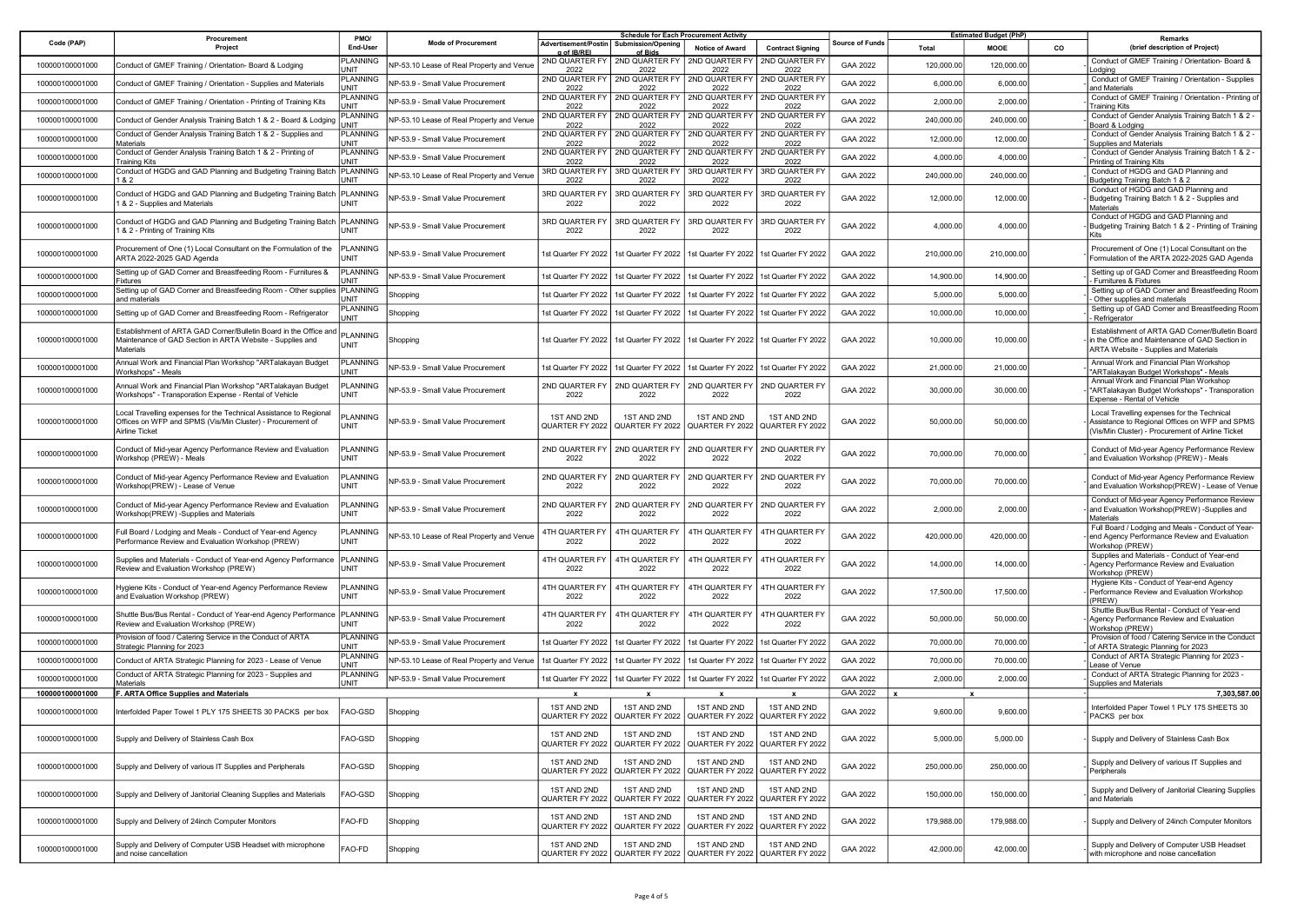|                 |                                                                                                                                                    | PMO/                           |                                           | <b>Schedule for Each Procurement Activity</b> |                                                  |                                                |                                                |                 | <b>Estimated Budget (PhP)</b> |            |           |                                                                                                                                                    |
|-----------------|----------------------------------------------------------------------------------------------------------------------------------------------------|--------------------------------|-------------------------------------------|-----------------------------------------------|--------------------------------------------------|------------------------------------------------|------------------------------------------------|-----------------|-------------------------------|------------|-----------|----------------------------------------------------------------------------------------------------------------------------------------------------|
| Code (PAP)      | Procurement<br>Project                                                                                                                             | End-User                       | <b>Mode of Procurement</b>                | Advertisement/Postin<br>g of IB/REI           | Submission/Openin<br>of Bids                     | Notice of Award                                | <b>Contract Signing</b>                        | Source of Funds | Total                         | MOOE       | <b>CO</b> | Remarks<br>(brief description of Project)                                                                                                          |
| 100000100001000 | Conduct of GMEF Training / Orientation- Board & Lodging                                                                                            | <b>PLANNING</b><br><b>JNIT</b> | VP-53.10 Lease of Real Property and Venue | 2022                                          | 2ND QUARTER FY   2ND QUARTER FY<br>2022          | 2ND QUARTER FY<br>2022                         | 2ND QUARTER FY<br>2022                         | GAA 2022        | 120,000.00                    | 120,000.00 |           | Conduct of GMEF Training / Orientation- Board &<br>_odging                                                                                         |
| 100000100001000 | Conduct of GMEF Training / Orientation - Supplies and Materials                                                                                    | PLANNING<br><b>JNIT</b>        | VP-53.9 - Small Value Procurement         | 2ND QUARTER FY<br>2022                        | 2ND QUARTER FY<br>2022                           | 2ND QUARTER FY<br>2022                         | 2ND QUARTER FY<br>2022                         | GAA 2022        | 6,000.00                      | 6,000.00   |           | Conduct of GMEF Training / Orientation - Supplies<br>and Materials                                                                                 |
| 100000100001000 | Conduct of GMEF Training / Orientation - Printing of Training Kits                                                                                 | PLANNING<br><b>JNIT</b>        | VP-53.9 - Small Value Procurement         | 2ND QUARTER FY<br>2022                        | 2ND QUARTER FY<br>2022                           | 2ND QUARTER FY<br>2022                         | 2ND QUARTER FY<br>2022                         | GAA 2022        | 2,000.00                      | 2,000.00   |           | Conduct of GMEF Training / Orientation - Printing o<br><b>Training Kits</b>                                                                        |
| 100000100001000 | Conduct of Gender Analysis Training Batch 1 & 2 - Board & Lodging                                                                                  | PLANNING<br><b>JNIT</b>        | VP-53.10 Lease of Real Property and Venue | 2ND QUARTER FY<br>2022                        | 2ND QUARTER FY<br>2022                           | 2ND QUARTER FY<br>2022                         | 2ND QUARTER FY<br>2022                         | GAA 2022        | 240,000.00                    | 240,000.00 |           | Conduct of Gender Analysis Training Batch 1 & 2 -<br>Board & Lodging                                                                               |
| 100000100001000 | Conduct of Gender Analysis Training Batch 1 & 2 - Supplies and<br>Materials                                                                        | <b>PLANNING</b><br><b>TINL</b> | VP-53.9 - Small Value Procurement         | 2ND QUARTER FY<br>2022                        | 2ND QUARTER FY<br>2022                           | 2ND QUARTER FY<br>2022                         | 2ND QUARTER FY<br>2022                         | GAA 2022        | 12,000.00                     | 12,000.00  |           | Conduct of Gender Analysis Training Batch 1 & 2 -<br><b>Supplies and Materials</b>                                                                 |
| 100000100001000 | Conduct of Gender Analysis Training Batch 1 & 2 - Printing of<br>Training Kits                                                                     | PLANNING<br><b>TINL</b>        | VP-53.9 - Small Value Procurement         | 2ND QUARTER FY<br>2022                        | 2ND QUARTER FY<br>2022                           | 2ND QUARTER FY<br>2022                         | 2ND QUARTER FT<br>2022                         | GAA 2022        | 4,000.00                      | 4,000.00   |           | Conduct of Gender Analysis Training Batch 1 & 2 -<br>Printing of Training Kits                                                                     |
| 100000100001000 | Conduct of HGDG and GAD Planning and Budgeting Training Batch<br>82                                                                                | PLANNING<br>JNIT               | VP-53.10 Lease of Real Property and Venue | 3RD QUARTER FY<br>2022                        | 3RD QUARTER FY<br>2022                           | 3RD QUARTER FY<br>2022                         | 3RD QUARTER FY<br>2022                         | GAA 2022        | 240,000.00                    | 240,000.00 |           | Conduct of HGDG and GAD Planning and<br>Budgeting Training Batch 1 & 2                                                                             |
| 100000100001000 | Conduct of HGDG and GAD Planning and Budgeting Training Batch<br>1 & 2 - Supplies and Materials                                                    | PLANNING<br>UNIT               | VP-53.9 - Small Value Procurement         | 3RD QUARTER FY<br>2022                        | 3RD QUARTER FY<br>2022                           | 3RD QUARTER FY<br>2022                         | 3RD QUARTER FY<br>2022                         | GAA 2022        | 12,000.00                     | 12,000.00  |           | Conduct of HGDG and GAD Planning and<br>Budgeting Training Batch 1 & 2 - Supplies and<br>Materials                                                 |
| 100000100001000 | Conduct of HGDG and GAD Planning and Budgeting Training Batch<br>1 & 2 - Printing of Training Kits                                                 | PLANNING<br>UNIT               | <b>NP-53.9 - Small Value Procurement</b>  | 3RD QUARTER FY<br>2022                        | 3RD QUARTER FY<br>2022                           | 3RD QUARTER FY<br>2022                         | 3RD QUARTER FY<br>2022                         | GAA 2022        | 4,000.00                      | 4,000.00   |           | Conduct of HGDG and GAD Planning and<br>Budgeting Training Batch 1 & 2 - Printing of Training<br><b>Kits</b>                                       |
| 100000100001000 | Procurement of One (1) Local Consultant on the Formulation of the<br>ARTA 2022-2025 GAD Agenda                                                     | PLANNING<br>UNIT               | VP-53.9 - Small Value Procurement         |                                               | 1st Quarter FY 2022   1st Quarter FY 2022        | 1st Quarter FY 2022                            | 1st Quarter FY 2022                            | GAA 2022        | 210,000.00                    | 210,000.00 |           | Procurement of One (1) Local Consultant on the<br>Formulation of the ARTA 2022-2025 GAD Agenda                                                     |
| 100000100001000 | Setting up of GAD Corner and Breastfeeding Room - Furnitures &<br>Fixtures                                                                         | PLANNING<br><b>TINL</b>        | VP-53.9 - Small Value Procurement         | 1st Quarter FY 2022                           | 1st Quarter FY 2022                              | 1st Quarter FY 2022                            | 1st Quarter FY 2022                            | GAA 2022        | 14,900.00                     | 14,900.00  |           | Setting up of GAD Corner and Breastfeeding Room<br>Furnitures & Fixtures                                                                           |
| 100000100001000 | Setting up of GAD Corner and Breastfeeding Room - Other supplies<br>and materials                                                                  | PLANNING<br><b>JNIT</b>        | Shopping                                  | 1st Quarter FY 2022                           | 1st Quarter FY 2022                              | 1st Quarter FY 2022                            | 1st Quarter FY 2022                            | GAA 2022        | 5,000.00                      | 5,000.00   |           | Setting up of GAD Corner and Breastfeeding Room<br>Other supplies and materials                                                                    |
| 100000100001000 | Setting up of GAD Corner and Breastfeeding Room - Refrigerator                                                                                     | PLANNING<br><b>TINL</b>        | Shopping                                  | 1st Quarter FY 2022                           | 1st Quarter FY 2022                              | 1st Quarter FY 2022                            | 1st Quarter FY 2022                            | GAA 2022        | 10,000.00                     | 10,000.00  |           | Setting up of GAD Corner and Breastfeeding Room<br>Refrigerator                                                                                    |
| 100000100001000 | Establishment of ARTA GAD Corner/Bulletin Board in the Office and<br>Maintenance of GAD Section in ARTA Website - Supplies and<br>Materials        | <b>PLANNING</b><br>UNIT        | Shopping                                  |                                               | 1st Quarter FY 2022 1st Quarter FY 2022          | 1st Quarter FY 2022                            | 1st Quarter FY 2022                            | GAA 2022        | 10,000.00                     | 10,000.00  |           | Establishment of ARTA GAD Corner/Bulletin Board<br>in the Office and Maintenance of GAD Section in<br>ARTA Website - Supplies and Materials        |
| 100000100001000 | Annual Work and Financial Plan Workshop "ARTalakayan Budget<br>Workshops" - Meals                                                                  | PLANNING<br><b>TINU</b>        | VP-53.9 - Small Value Procurement         | 1st Quarter FY 2022                           | 1st Quarter FY 2022                              | 1st Quarter FY 2022                            | 1st Quarter FY 2022                            | GAA 2022        | 21,000.00                     | 21,000.00  |           | Annual Work and Financial Plan Workshop<br>'ARTalakayan Budget Workshops" - Meals                                                                  |
| 100000100001000 | Annual Work and Financial Plan Workshop "ARTalakayan Budget<br>Workshops" - Transporation Expense - Rental of Vehicle                              | PLANNING<br><b>UNIT</b>        | VP-53.9 - Small Value Procurement         | 2ND QUARTER FY<br>2022                        | 2ND QUARTER FY<br>2022                           | 2ND QUARTER FY<br>2022                         | 2ND QUARTER FY<br>2022                         | GAA 2022        | 30,000.00                     | 30,000.00  |           | Annual Work and Financial Plan Workshop<br>"ARTalakayan Budget Workshops" - Transporation<br>Expense - Rental of Vehicle                           |
| 100000100001000 | Local Travelling expenses for the Technical Assistance to Regional<br>Offices on WFP and SPMS (Vis/Min Cluster) - Procurement of<br>Airline Ticket | PLANNING<br>UNIT               | NP-53.9 - Small Value Procurement         | 1ST AND 2ND<br>QUARTER FY 2022                | 1ST AND 2ND<br>QUARTER FY 2022                   | 1ST AND 2ND                                    | 1ST AND 2ND<br>QUARTER FY 2022 QUARTER FY 2022 | GAA 2022        | 50,000.00                     | 50,000.00  |           | Local Travelling expenses for the Technical<br>Assistance to Regional Offices on WFP and SPMS<br>(Vis/Min Cluster) - Procurement of Airline Ticket |
| 100000100001000 | Conduct of Mid-year Agency Performance Review and Evaluation<br>Workshop (PREW) - Meals                                                            | PLANNING<br>UNIT               | VP-53.9 - Small Value Procurement         | 2ND QUARTER FY<br>2022                        | 2ND QUARTER FY<br>2022                           | 2ND QUARTER FY<br>2022                         | 2ND QUARTER FY<br>2022                         | GAA 2022        | 70,000.00                     | 70,000.00  |           | Conduct of Mid-year Agency Performance Review<br>and Evaluation Workshop (PREW) - Meals                                                            |
| 100000100001000 | Conduct of Mid-year Agency Performance Review and Evaluation<br>Workshop(PREW) - Lease of Venue                                                    | PLANNING<br>UNIT               | VP-53.9 - Small Value Procurement         | 2ND QUARTER FY<br>2022                        | 2ND QUARTER FY<br>2022                           | 2ND QUARTER FY<br>2022                         | 2ND QUARTER FY<br>2022                         | GAA 2022        | 70,000.00                     | 70,000.00  |           | Conduct of Mid-year Agency Performance Review<br>and Evaluation Workshop(PREW) - Lease of Venue                                                    |
| 100000100001000 | Conduct of Mid-year Agency Performance Review and Evaluation<br>Workshop(PREW) -Supplies and Materials                                             | PLANNING<br>UNIT               | VP-53.9 - Small Value Procurement         | 2ND QUARTER FY<br>2022                        | 2ND QUARTER FY<br>2022                           | 2ND QUARTER FY<br>2022                         | 2ND QUARTER FY<br>2022                         | GAA 2022        | 2,000.00                      | 2,000.00   |           | Conduct of Mid-year Agency Performance Review<br>and Evaluation Workshop(PREW) -Supplies and<br>Materials                                          |
| 100000100001000 | Full Board / Lodging and Meals - Conduct of Year-end Agency<br>Performance Review and Evaluation Workshop (PREW)                                   | PLANNING<br>UNIT               | VP-53.10 Lease of Real Property and Venue | 4TH QUARTER FY<br>2022                        | 4TH QUARTER FY<br>2022                           | 4TH QUARTER FY<br>2022                         | 4TH QUARTER FY<br>2022                         | GAA 2022        | 420,000.00                    | 420,000.00 |           | Full Board / Lodging and Meals - Conduct of Year-<br>end Agency Performance Review and Evaluation<br>Workshop (PREW)                               |
| 100000100001000 | Supplies and Materials - Conduct of Year-end Agency Performance<br>Review and Evaluation Workshop (PREW)                                           | PLANNING<br><b>TINL</b>        | IP-53.9 - Small Value Procurement         | 4TH QUARTER FY<br>2022                        | 4TH QUARTER FY<br>2022                           | <b>ITH QUARTER FY</b><br>2022                  | 4TH QUARTER FY<br>2022                         | GAA 2022        | 14,000.00                     | 14,000.00  |           | Supplies and Materials - Conduct of Year-end<br>Agency Performance Review and Evaluation<br>Workshop (PREW)                                        |
| 100000100001000 | lygiene Kits - Conduct of Year-end Agency Performance Review<br>and Evaluation Workshop (PREW)                                                     | PLANNING<br>UNIT               | VP-53.9 - Small Value Procurement         | 4TH QUARTER FY<br>2022                        | 4TH QUARTER FY<br>2022                           | <b>ITH QUARTER FY</b><br>2022                  | 4TH QUARTER FY<br>2022                         | GAA 2022        | 17,500.00                     | 17,500.00  |           | Hygiene Kits - Conduct of Year-end Agency<br>Performance Review and Evaluation Workshop<br>(PREW)                                                  |
| 100000100001000 | Shuttle Bus/Bus Rental - Conduct of Year-end Agency Performance<br>Review and Evaluation Workshop (PREW)                                           | PLANNING<br>UNIT               | VP-53.9 - Small Value Procurement         | 4TH QUARTER FY<br>2022                        | 4TH QUARTER FY<br>2022                           | 4TH QUARTER FY<br>2022                         | 4TH QUARTER FY<br>2022                         | GAA 2022        | 50,000.00                     | 50,000.00  |           | Shuttle Bus/Bus Rental - Conduct of Year-end<br>Agency Performance Review and Evaluation<br>Workshop (PREW)                                        |
| 100000100001000 | Provision of food / Catering Service in the Conduct of ARTA<br>Strategic Planning for 2023                                                         | <b>PLANNING</b><br>UNIT        | VP-53.9 - Small Value Procurement         | 1st Quarter FY 2022                           | 1st Quarter FY 2022                              | 1st Quarter FY 2022                            | 1st Quarter FY 2022                            | GAA 2022        | 70,000.00                     | 70,000.00  |           | Provision of food / Catering Service in the Conduct<br>of ARTA Strategic Planning for 2023                                                         |
| 100000100001000 | Conduct of ARTA Strategic Planning for 2023 - Lease of Venue                                                                                       | PLANNING<br>JNIT               | VP-53.10 Lease of Real Property and Venue |                                               | 1st Quarter FY 2022   1st Quarter FY 2022        | 1st Quarter FY 2022                            | 1st Quarter FY 2022                            | GAA 2022        | 70,000.00                     | 70,000.00  |           | Conduct of ARTA Strategic Planning for 2023 -<br>ease of Venue                                                                                     |
| 100000100001000 | Conduct of ARTA Strategic Planning for 2023 - Supplies and<br>Aaterials                                                                            | PLANNING<br>UNIT               | VP-53.9 - Small Value Procurement         | 1st Quarter FY 2022                           | 1st Quarter FY 2022                              | 1st Quarter FY 2022                            | 1st Quarter FY 2022                            | GAA 2022        | 2,000.00                      | 2,000.00   |           | Conduct of ARTA Strategic Planning for 2023 -<br>Supplies and Materials                                                                            |
| 100000100001000 | F. ARTA Office Supplies and Materials                                                                                                              |                                |                                           |                                               |                                                  | x                                              |                                                | GAA 2022        | $\mathbf{x}$                  |            |           | 7,303,587.00                                                                                                                                       |
| 100000100001000 | Interfolded Paper Towel 1 PLY 175 SHEETS 30 PACKS per box                                                                                          | FAO-GSD                        | Shopping                                  | 1ST AND 2ND                                   | 1ST AND 2ND<br>QUARTER FY 2022   QUARTER FY 2022 | 1ST AND 2ND<br>QUARTER FY 2022 QUARTER FY 2022 | 1ST AND 2ND                                    | GAA 2022        | 9,600.00                      | 9,600.00   |           | Interfolded Paper Towel 1 PLY 175 SHEETS 30<br>PACKS per box                                                                                       |
| 100000100001000 | Supply and Delivery of Stainless Cash Box                                                                                                          | FAO-GSD                        | Shopping                                  | 1ST AND 2ND<br>QUARTER FY 2022                | 1ST AND 2ND<br>QUARTER FY 2022                   | 1ST AND 2ND<br>QUARTER FY 2022                 | 1ST AND 2ND<br>QUARTER FY 2022                 | GAA 2022        | 5,000.00                      | 5,000.00   |           | Supply and Delivery of Stainless Cash Box                                                                                                          |
| 100000100001000 | Supply and Delivery of various IT Supplies and Peripherals                                                                                         | FAO-GSD                        | Shopping                                  | 1ST AND 2ND<br>QUARTER FY 2022                | 1ST AND 2ND<br>QUARTER FY 2022                   | 1ST AND 2ND<br>QUARTER FY 2022                 | 1ST AND 2ND<br>QUARTER FY 2022                 | GAA 2022        | 250,000.00                    | 250,000.00 |           | Supply and Delivery of various IT Supplies and<br>Peripherals                                                                                      |
| 100000100001000 | Supply and Delivery of Janitorial Cleaning Supplies and Materials                                                                                  | AO-GSD                         | Shopping                                  | 1ST AND 2ND<br>QUARTER FY 2022                | 1ST AND 2ND<br>QUARTER FY 2022                   | 1ST AND 2ND<br>QUARTER FY 2022                 | 1ST AND 2ND<br>QUARTER FY 2022                 | GAA 2022        | 150,000.00                    | 150,000.00 |           | Supply and Delivery of Janitorial Cleaning Supplies<br>and Materials                                                                               |
| 100000100001000 | Supply and Delivery of 24inch Computer Monitors                                                                                                    | FAO-FD                         | Shopping                                  | 1ST AND 2ND<br>QUARTER FY 2022                | 1ST AND 2ND<br>QUARTER FY 2022                   | 1ST AND 2ND<br>QUARTER FY 2022                 | 1ST AND 2ND<br>QUARTER FY 2022                 | GAA 2022        | 179,988.00                    | 179,988.00 |           | Supply and Delivery of 24inch Computer Monitors                                                                                                    |
| 100000100001000 | Supply and Delivery of Computer USB Headset with microphone<br>and noise cancellation                                                              | FAO-FD                         | Shopping                                  | 1ST AND 2ND<br>QUARTER FY 2022                | 1ST AND 2ND<br>QUARTER FY 2022                   | 1ST AND 2ND                                    | 1ST AND 2ND<br>QUARTER FY 2022 QUARTER FY 2022 | GAA 2022        | 42,000.00                     | 42,000.00  |           | Supply and Delivery of Computer USB Headset<br>with microphone and noise cancellation                                                              |